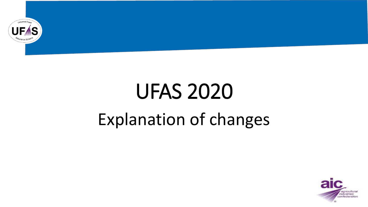

# UFAS 2020 Explanation of changes

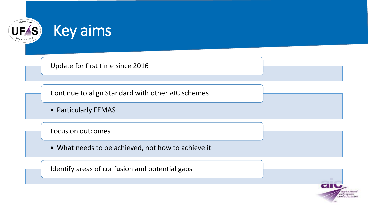

#### Key aims

Update for first time since 2016

Continue to align Standard with other AIC schemes

• Particularly FEMAS

Focus on outcomes

• What needs to be achieved, not how to achieve it

Identify areas of confusion and potential gaps

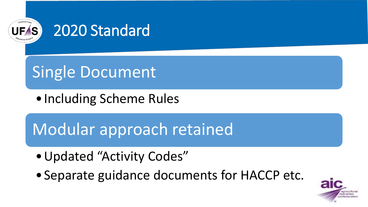

### 2020 Standard

## Single Document

• Including Scheme Rules

### Modular approach retained

- •Updated "Activity Codes"
- •Separate guidance documents for HACCP etc.

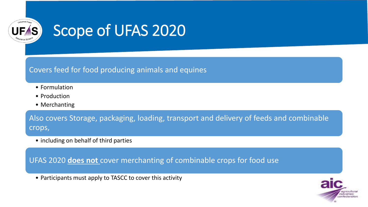

### Scope of UFAS 2020

Covers feed for food producing animals and equines

- Formulation
- Production
- Merchanting

Also covers Storage, packaging, loading, transport and delivery of feeds and combinable crops,

• including on behalf of third parties

UFAS 2020 **does not** cover merchanting of combinable crops for food use

• Participants must apply to TASCC to cover this activity

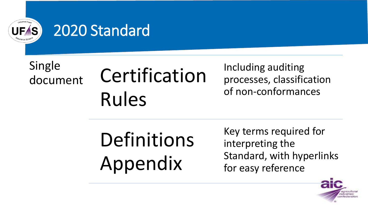

#### 2020 Standard

Single

## document Certification Rules

Including auditing processes, classification of non-conformances

## Definitions Appendix

Key terms required for interpreting the Standard, with hyperlinks for easy reference

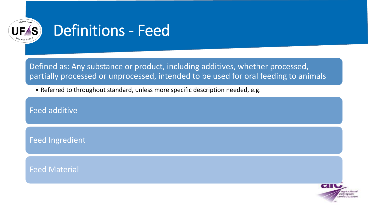

### Definitions - Feed

Defined as: Any substance or product, including additives, whether processed, partially processed or unprocessed, intended to be used for oral feeding to animals

• Referred to throughout standard, unless more specific description needed, e.g.

Feed additive

Feed Ingredient

Feed Material

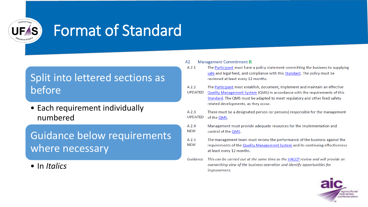

### Format of Standard

#### Split into lettered sections as before

• Each requirement individually numbered

Guidance below requirements where necessary

• In *Italics*

#### **Management Commitment R** A2

- The Participant must have a policy statement committing the business to supplying  $A$  2.1 safe and legal feed, and compliance with this Standard. The policy must be reviewed at least every 12 months.
- The Participant must establish, document, implement and maintain an effective A 2.2
- **UPDATED** Quality Management System (QMS) in accordance with the requirements of this Standard. The QMS must be adapted to meet regulatory and other feed safety related developments, as they occur.
- A 2.3 There must be a designated person (or persons) responsible for the management **UPDATED** of the QMS.
- Management must provide adequate resources for the implementation and A 2.4 **NEW** control of the QMS.
- A 2.5 The management team must review the performance of the business against the
- **NEW** requirements of the Quality Management System and its continuing effectiveness at least every 12 months.
- This can be carried out at the same time as the HACCP review and will provide an Guidance overarching view of the business operation and identify opportunities for improvement.

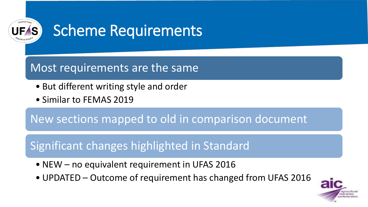

### Scheme Requirements

#### Most requirements are the same

- But different writing style and order
- Similar to FEMAS 2019

New sections mapped to old in comparison document

#### Significant changes highlighted in Standard

- NEW no equivalent requirement in UFAS 2016
- UPDATED Outcome of requirement has changed from UFAS 2016

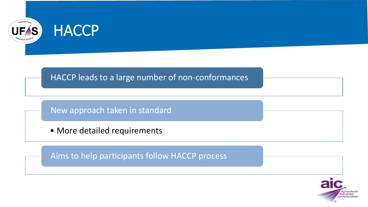

#### HACCP leads to a large number of non-conformances

New approach taken in standard

• More detailed requirements

Aims to help participants follow HACCP process

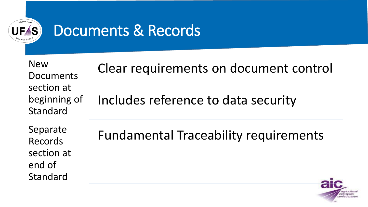

### Documents & Records

| <b>New</b><br>Documents<br>section at<br>beginning of<br>Standard | Clear requirements on document control       |
|-------------------------------------------------------------------|----------------------------------------------|
|                                                                   | Includes reference to data security          |
| Separate<br>Records<br>section at<br>end of<br>Standard           | <b>Fundamental Traceability requirements</b> |

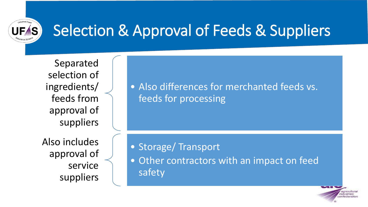

### Selection & Approval of Feeds & Suppliers

Separated selection of ingredients/ feeds from approval of suppliers

Also includes approval of service suppliers

• Also differences for merchanted feeds vs. feeds for processing

• Storage/ Transport

• Other contractors with an impact on feed safety

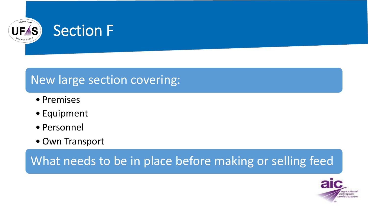

#### Section F

#### New large section covering:

- Premises
- Equipment
- Personnel
- Own Transport

What needs to be in place before making or selling feed

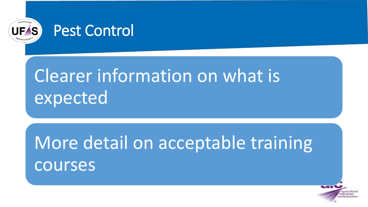



## Clearer information on what is expected

## More detail on acceptable training courses

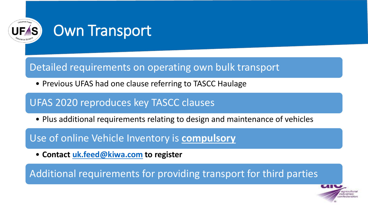

#### Own Transport

#### Detailed requirements on operating own bulk transport

• Previous UFAS had one clause referring to TASCC Haulage

#### UFAS 2020 reproduces key TASCC clauses

• Plus additional requirements relating to design and maintenance of vehicles

Use of online Vehicle Inventory is **compulsory**

• **Contact [uk.feed@kiwa.com](mailto:uk.feed@kiwa.com) to register**

Additional requirements for providing transport for third parties

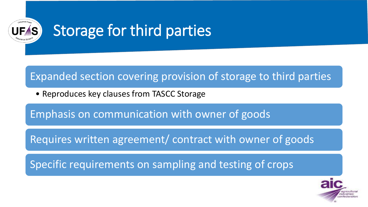

### Storage for third parties

#### Expanded section covering provision of storage to third parties

• Reproduces key clauses from TASCC Storage

Emphasis on communication with owner of goods

Requires written agreement/ contract with owner of goods

Specific requirements on sampling and testing of crops

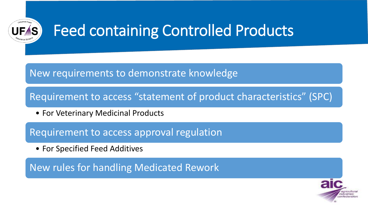

### Feed containing Controlled Products

#### New requirements to demonstrate knowledge

Requirement to access "statement of product characteristics" (SPC)

• For Veterinary Medicinal Products

Requirement to access approval regulation

• For Specified Feed Additives

New rules for handling Medicated Rework